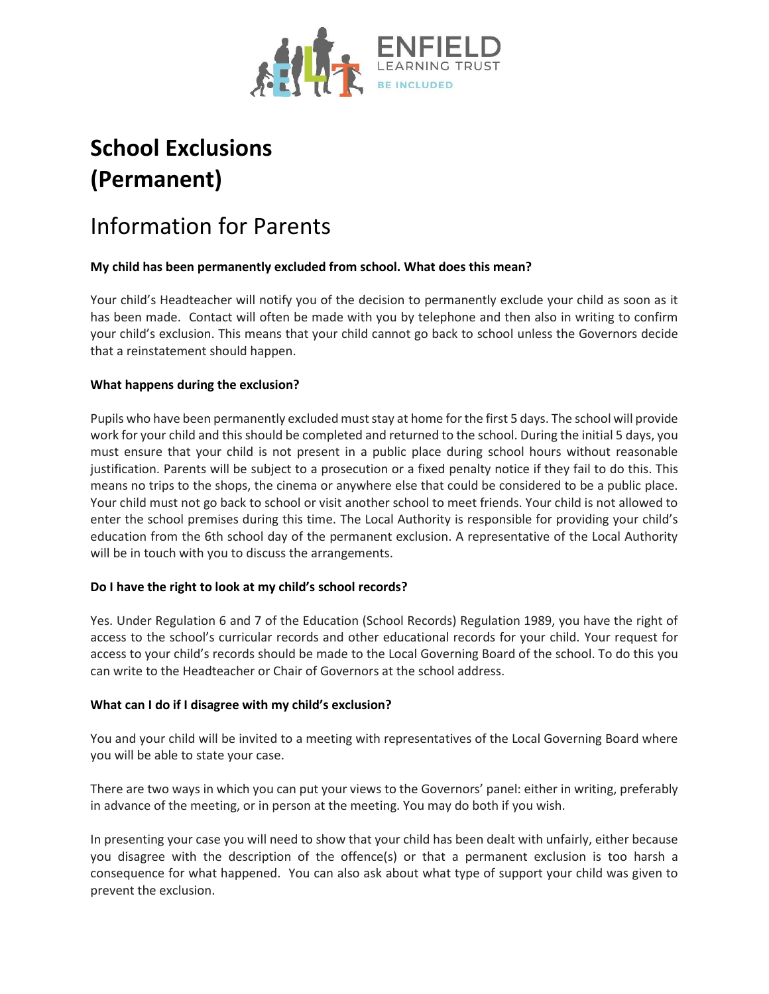

# **School Exclusions (Permanent)**

# Information for Parents

# **My child has been permanently excluded from school. What does this mean?**

Your child's Headteacher will notify you of the decision to permanently exclude your child as soon as it has been made. Contact will often be made with you by telephone and then also in writing to confirm your child's exclusion. This means that your child cannot go back to school unless the Governors decide that a reinstatement should happen.

### **What happens during the exclusion?**

Pupils who have been permanently excluded must stay at home for the first 5 days. The school will provide work for your child and this should be completed and returned to the school. During the initial 5 days, you must ensure that your child is not present in a public place during school hours without reasonable justification. Parents will be subject to a prosecution or a fixed penalty notice if they fail to do this. This means no trips to the shops, the cinema or anywhere else that could be considered to be a public place. Your child must not go back to school or visit another school to meet friends. Your child is not allowed to enter the school premises during this time. The Local Authority is responsible for providing your child's education from the 6th school day of the permanent exclusion. A representative of the Local Authority will be in touch with you to discuss the arrangements.

# **Do I have the right to look at my child's school records?**

Yes. Under Regulation 6 and 7 of the Education (School Records) Regulation 1989, you have the right of access to the school's curricular records and other educational records for your child. Your request for access to your child's records should be made to the Local Governing Board of the school. To do this you can write to the Headteacher or Chair of Governors at the school address.

#### **What can I do if I disagree with my child's exclusion?**

You and your child will be invited to a meeting with representatives of the Local Governing Board where you will be able to state your case.

There are two ways in which you can put your views to the Governors' panel: either in writing, preferably in advance of the meeting, or in person at the meeting. You may do both if you wish.

In presenting your case you will need to show that your child has been dealt with unfairly, either because you disagree with the description of the offence(s) or that a permanent exclusion is too harsh a consequence for what happened. You can also ask about what type of support your child was given to prevent the exclusion.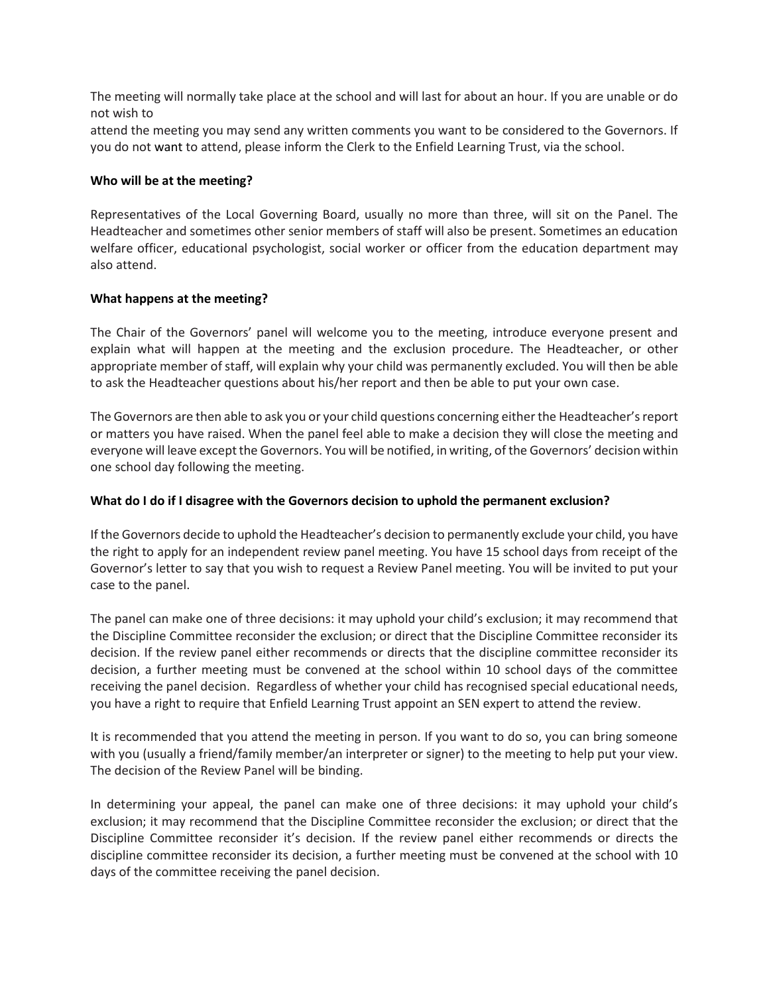The meeting will normally take place at the school and will last for about an hour. If you are unable or do not wish to

attend the meeting you may send any written comments you want to be considered to the Governors. If you do not want to attend, please inform the Clerk to the Enfield Learning Trust, via the school.

#### **Who will be at the meeting?**

Representatives of the Local Governing Board, usually no more than three, will sit on the Panel. The Headteacher and sometimes other senior members of staff will also be present. Sometimes an education welfare officer, educational psychologist, social worker or officer from the education department may also attend.

#### **What happens at the meeting?**

The Chair of the Governors' panel will welcome you to the meeting, introduce everyone present and explain what will happen at the meeting and the exclusion procedure. The Headteacher, or other appropriate member of staff, will explain why your child was permanently excluded. You will then be able to ask the Headteacher questions about his/her report and then be able to put your own case.

The Governors are then able to ask you or your child questions concerning either the Headteacher's report or matters you have raised. When the panel feel able to make a decision they will close the meeting and everyone will leave except the Governors. You will be notified, in writing, of the Governors' decision within one school day following the meeting.

#### **What do I do if I disagree with the Governors decision to uphold the permanent exclusion?**

If the Governors decide to uphold the Headteacher's decision to permanently exclude your child, you have the right to apply for an independent review panel meeting. You have 15 school days from receipt of the Governor's letter to say that you wish to request a Review Panel meeting. You will be invited to put your case to the panel.

The panel can make one of three decisions: it may uphold your child's exclusion; it may recommend that the Discipline Committee reconsider the exclusion; or direct that the Discipline Committee reconsider its decision. If the review panel either recommends or directs that the discipline committee reconsider its decision, a further meeting must be convened at the school within 10 school days of the committee receiving the panel decision. Regardless of whether your child has recognised special educational needs, you have a right to require that Enfield Learning Trust appoint an SEN expert to attend the review.

It is recommended that you attend the meeting in person. If you want to do so, you can bring someone with you (usually a friend/family member/an interpreter or signer) to the meeting to help put your view. The decision of the Review Panel will be binding.

In determining your appeal, the panel can make one of three decisions: it may uphold your child's exclusion; it may recommend that the Discipline Committee reconsider the exclusion; or direct that the Discipline Committee reconsider it's decision. If the review panel either recommends or directs the discipline committee reconsider its decision, a further meeting must be convened at the school with 10 days of the committee receiving the panel decision.